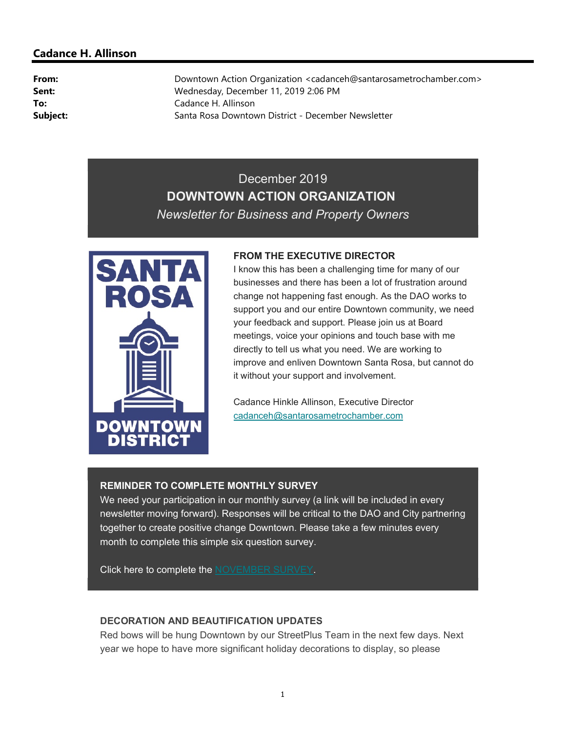# Cadance H. Allinson

From: Downtown Action Organization <cadanceh@santarosametrochamber.com> Sent: Wednesday, December 11, 2019 2:06 PM To: Cadance H. Allinson Subject: Santa Rosa Downtown District - December Newsletter

# December 2019 DOWNTOWN ACTION ORGANIZATION Newsletter for Business and Property Owners



#### FROM THE EXECUTIVE DIRECTOR

I know this has been a challenging time for many of our businesses and there has been a lot of frustration around change not happening fast enough. As the DAO works to support you and our entire Downtown community, we need your feedback and support. Please join us at Board meetings, voice your opinions and touch base with me directly to tell us what you need. We are working to improve and enliven Downtown Santa Rosa, but cannot do it without your support and involvement.

Cadance Hinkle Allinson, Executive Director cadanceh@santarosametrochamber.com

## REMINDER TO COMPLETE MONTHLY SURVEY

We need your participation in our monthly survey (a link will be included in every newsletter moving forward). Responses will be critical to the DAO and City partnering together to create positive change Downtown. Please take a few minutes every month to complete this simple six question survey.

Click here to complete the NOVEMBER SURVEY.

## DECORATION AND BEAUTIFICATION UPDATES

Red bows will be hung Downtown by our StreetPlus Team in the next few days. Next year we hope to have more significant holiday decorations to display, so please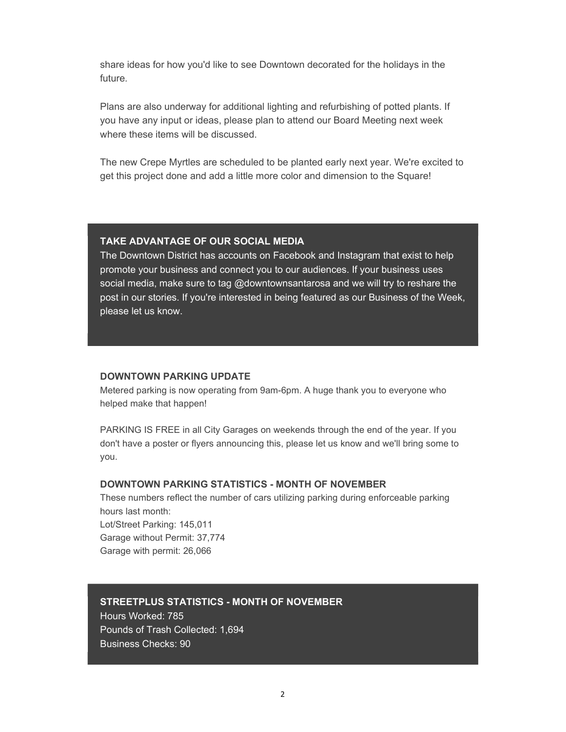share ideas for how you'd like to see Downtown decorated for the holidays in the future.

Plans are also underway for additional lighting and refurbishing of potted plants. If you have any input or ideas, please plan to attend our Board Meeting next week where these items will be discussed.

The new Crepe Myrtles are scheduled to be planted early next year. We're excited to get this project done and add a little more color and dimension to the Square!

## TAKE ADVANTAGE OF OUR SOCIAL MEDIA

The Downtown District has accounts on Facebook and Instagram that exist to help promote your business and connect you to our audiences. If your business uses social media, make sure to tag @downtownsantarosa and we will try to reshare the post in our stories. If you're interested in being featured as our Business of the Week, please let us know.

#### DOWNTOWN PARKING UPDATE

Metered parking is now operating from 9am-6pm. A huge thank you to everyone who helped make that happen!

PARKING IS FREE in all City Garages on weekends through the end of the year. If you don't have a poster or flyers announcing this, please let us know and we'll bring some to you.

## DOWNTOWN PARKING STATISTICS - MONTH OF NOVEMBER

These numbers reflect the number of cars utilizing parking during enforceable parking hours last month: Lot/Street Parking: 145,011

Garage without Permit: 37,774 Garage with permit: 26,066

## STREETPLUS STATISTICS - MONTH OF NOVEMBER

Hours Worked: 785 Pounds of Trash Collected: 1,694 Business Checks: 90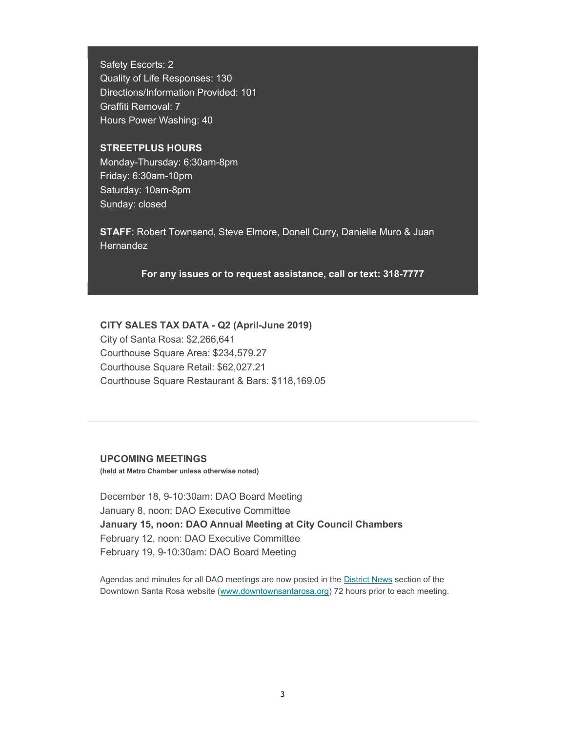Safety Escorts: 2 Quality of Life Responses: 130 Directions/Information Provided: 101 Graffiti Removal: 7 Hours Power Washing: 40

## STREETPLUS HOURS

Monday-Thursday: 6:30am-8pm Friday: 6:30am-10pm Saturday: 10am-8pm Sunday: closed

STAFF: Robert Townsend, Steve Elmore, Donell Curry, Danielle Muro & Juan **Hernandez** 

For any issues or to request assistance, call or text: 318-7777

#### CITY SALES TAX DATA - Q2 (April-June 2019)

City of Santa Rosa: \$2,266,641 Courthouse Square Area: \$234,579.27 Courthouse Square Retail: \$62,027.21 Courthouse Square Restaurant & Bars: \$118,169.05

#### UPCOMING MEETINGS

(held at Metro Chamber unless otherwise noted)

December 18, 9-10:30am: DAO Board Meeting January 8, noon: DAO Executive Committee January 15, noon: DAO Annual Meeting at City Council Chambers February 12, noon: DAO Executive Committee February 19, 9-10:30am: DAO Board Meeting

Agendas and minutes for all DAO meetings are now posted in the District News section of the Downtown Santa Rosa website (www.downtownsantarosa.org) 72 hours prior to each meeting.